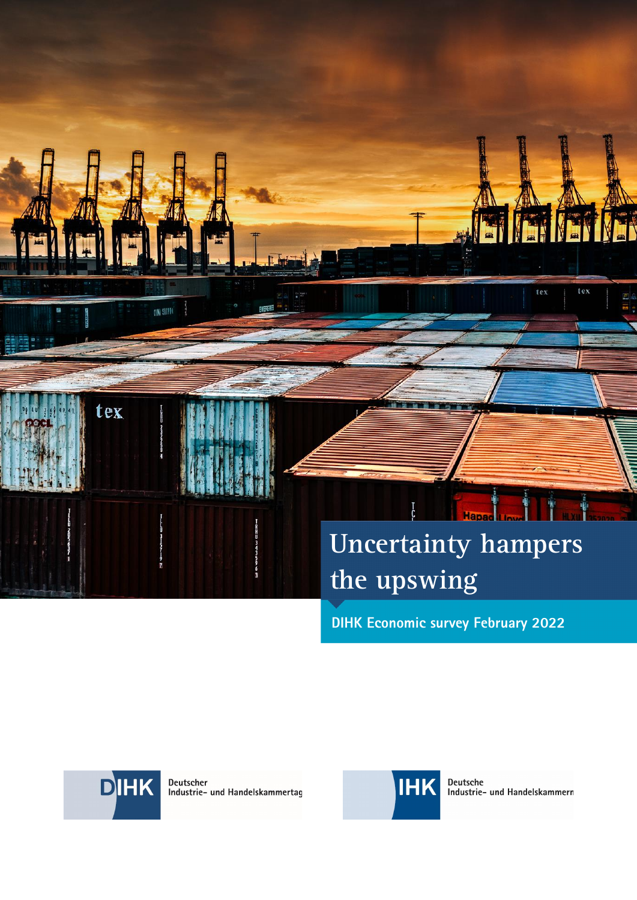# **Uncertainty hampers the upswing**

L

te:

tex

**DIHK Economic survey February 2022** 



**ON SUPE** 

tex

Deutscher<br>Industrie- und Handelskammertag



Deutsche<br>Industrie- und Handelskammern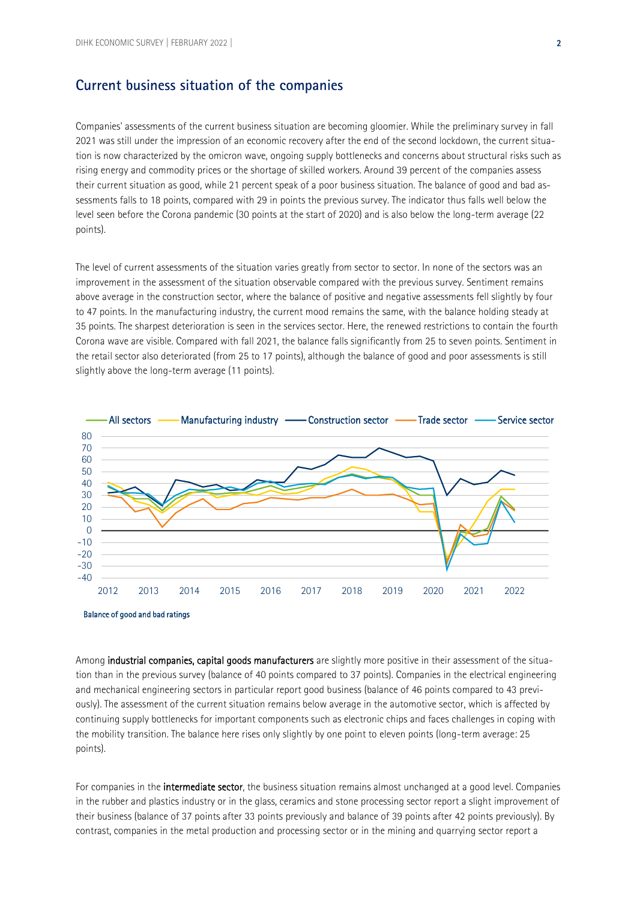#### **Current business situation of the companies**

Companies' assessments of the current business situation are becoming gloomier. While the preliminary survey in fall 2021 was still under the impression of an economic recovery after the end of the second lockdown, the current situation is now characterized by the omicron wave, ongoing supply bottlenecks and concerns about structural risks such as rising energy and commodity prices or the shortage of skilled workers. Around 39 percent of the companies assess their current situation as good, while 21 percent speak of a poor business situation. The balance of good and bad assessments falls to 18 points, compared with 29 in points the previous survey. The indicator thus falls well below the level seen before the Corona pandemic (30 points at the start of 2020) and is also below the long-term average (22 points).

The level of current assessments of the situation varies greatly from sector to sector. In none of the sectors was an improvement in the assessment of the situation observable compared with the previous survey. Sentiment remains above average in the construction sector, where the balance of positive and negative assessments fell slightly by four to 47 points. In the manufacturing industry, the current mood remains the same, with the balance holding steady at 35 points. The sharpest deterioration is seen in the services sector. Here, the renewed restrictions to contain the fourth Corona wave are visible. Compared with fall 2021, the balance falls significantly from 25 to seven points. Sentiment in the retail sector also deteriorated (from 25 to 17 points), although the balance of good and poor assessments is still slightly above the long-term average (11 points).





Among industrial companies, capital goods manufacturers are slightly more positive in their assessment of the situation than in the previous survey (balance of 40 points compared to 37 points). Companies in the electrical engineering and mechanical engineering sectors in particular report good business (balance of 46 points compared to 43 previously). The assessment of the current situation remains below average in the automotive sector, which is affected by continuing supply bottlenecks for important components such as electronic chips and faces challenges in coping with the mobility transition. The balance here rises only slightly by one point to eleven points (long-term average: 25 points).

For companies in the intermediate sector, the business situation remains almost unchanged at a good level. Companies in the rubber and plastics industry or in the glass, ceramics and stone processing sector report a slight improvement of their business (balance of 37 points after 33 points previously and balance of 39 points after 42 points previously). By contrast, companies in the metal production and processing sector or in the mining and quarrying sector report a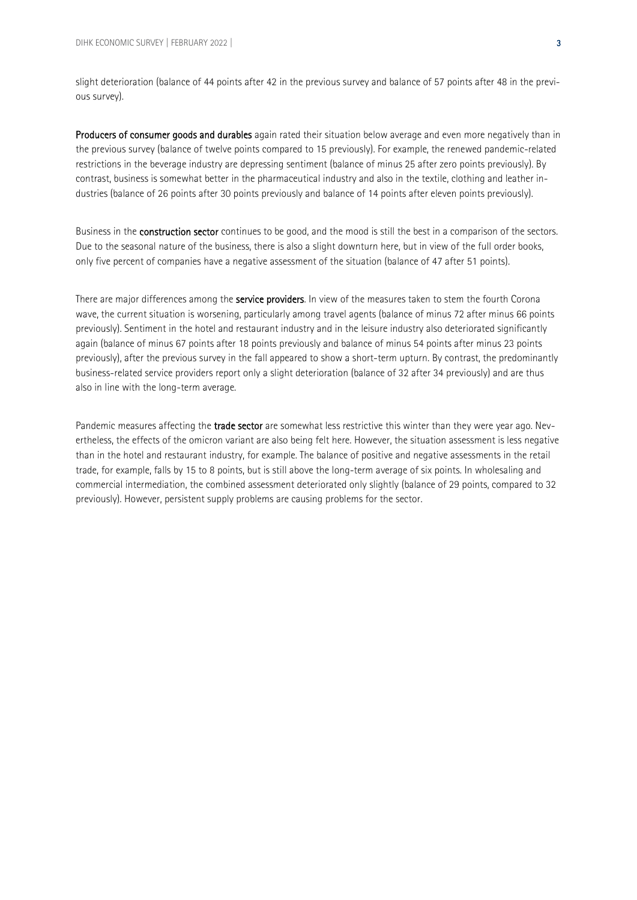slight deterioration (balance of 44 points after 42 in the previous survey and balance of 57 points after 48 in the previous survey).

Producers of consumer goods and durables again rated their situation below average and even more negatively than in the previous survey (balance of twelve points compared to 15 previously). For example, the renewed pandemic-related restrictions in the beverage industry are depressing sentiment (balance of minus 25 after zero points previously). By contrast, business is somewhat better in the pharmaceutical industry and also in the textile, clothing and leather industries (balance of 26 points after 30 points previously and balance of 14 points after eleven points previously).

Business in the **construction sector** continues to be good, and the mood is still the best in a comparison of the sectors. Due to the seasonal nature of the business, there is also a slight downturn here, but in view of the full order books, only five percent of companies have a negative assessment of the situation (balance of 47 after 51 points).

There are major differences among the service providers. In view of the measures taken to stem the fourth Corona wave, the current situation is worsening, particularly among travel agents (balance of minus 72 after minus 66 points previously). Sentiment in the hotel and restaurant industry and in the leisure industry also deteriorated significantly again (balance of minus 67 points after 18 points previously and balance of minus 54 points after minus 23 points previously), after the previous survey in the fall appeared to show a short-term upturn. By contrast, the predominantly business-related service providers report only a slight deterioration (balance of 32 after 34 previously) and are thus also in line with the long-term average.

Pandemic measures affecting the trade sector are somewhat less restrictive this winter than they were year ago. Nevertheless, the effects of the omicron variant are also being felt here. However, the situation assessment is less negative than in the hotel and restaurant industry, for example. The balance of positive and negative assessments in the retail trade, for example, falls by 15 to 8 points, but is still above the long-term average of six points. In wholesaling and commercial intermediation, the combined assessment deteriorated only slightly (balance of 29 points, compared to 32 previously). However, persistent supply problems are causing problems for the sector.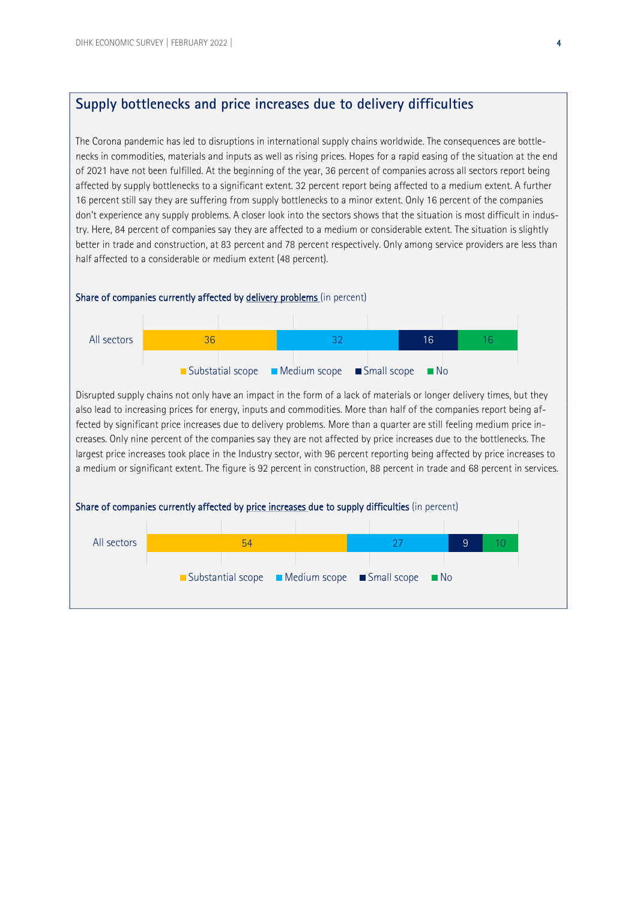## **Supply bottlenecks and price increases due to delivery difficulties**

The Corona pandemic has led to disruptions in international supply chains worldwide. The consequences are bottlenecks in commodities, materials and inputs as well as rising prices. Hopes for a rapid easing of the situation at the end of 2021 have not been fulfilled. At the beginning of the year, 36 percent of companies across all sectors report being affected by supply bottlenecks to a significant extent. 32 percent report being affected to a medium extent. A further 16 percent still say they are suffering from supply bottlenecks to a minor extent. Only 16 percent of the companies don't experience any supply problems. A closer look into the sectors shows that the situation is most difficult in industry. Here, 84 percent of companies say they are affected to a medium or considerable extent. The situation is slightly better in trade and construction, at 83 percent and 78 percent respectively. Only among service providers are less than half affected to a considerable or medium extent (48 percent).

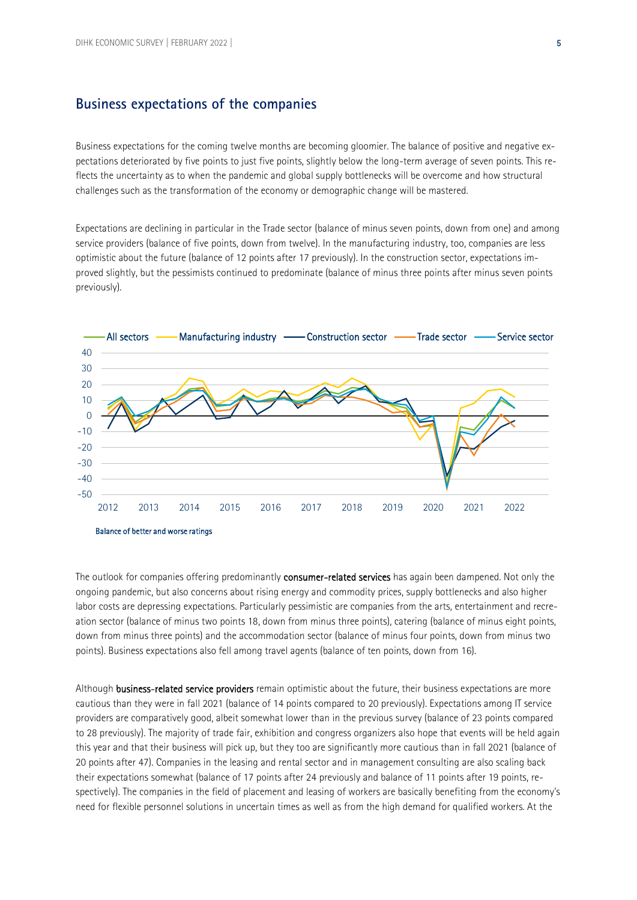### **Business expectations of the companies**

Business expectations for the coming twelve months are becoming gloomier. The balance of positive and negative expectations deteriorated by five points to just five points, slightly below the long-term average of seven points. This reflects the uncertainty as to when the pandemic and global supply bottlenecks will be overcome and how structural challenges such as the transformation of the economy or demographic change will be mastered.

Expectations are declining in particular in the Trade sector (balance of minus seven points, down from one) and among service providers (balance of five points, down from twelve). In the manufacturing industry, too, companies are less optimistic about the future (balance of 12 points after 17 previously). In the construction sector, expectations improved slightly, but the pessimists continued to predominate (balance of minus three points after minus seven points previously).



The outlook for companies offering predominantly consumer-related services has again been dampened. Not only the ongoing pandemic, but also concerns about rising energy and commodity prices, supply bottlenecks and also higher labor costs are depressing expectations. Particularly pessimistic are companies from the arts, entertainment and recreation sector (balance of minus two points 18, down from minus three points), catering (balance of minus eight points, down from minus three points) and the accommodation sector (balance of minus four points, down from minus two points). Business expectations also fell among travel agents (balance of ten points, down from 16).

Although business-related service providers remain optimistic about the future, their business expectations are more cautious than they were in fall 2021 (balance of 14 points compared to 20 previously). Expectations among IT service providers are comparatively good, albeit somewhat lower than in the previous survey (balance of 23 points compared to 28 previously). The majority of trade fair, exhibition and congress organizers also hope that events will be held again this year and that their business will pick up, but they too are significantly more cautious than in fall 2021 (balance of 20 points after 47). Companies in the leasing and rental sector and in management consulting are also scaling back their expectations somewhat (balance of 17 points after 24 previously and balance of 11 points after 19 points, respectively). The companies in the field of placement and leasing of workers are basically benefiting from the economy's need for flexible personnel solutions in uncertain times as well as from the high demand for qualified workers. At the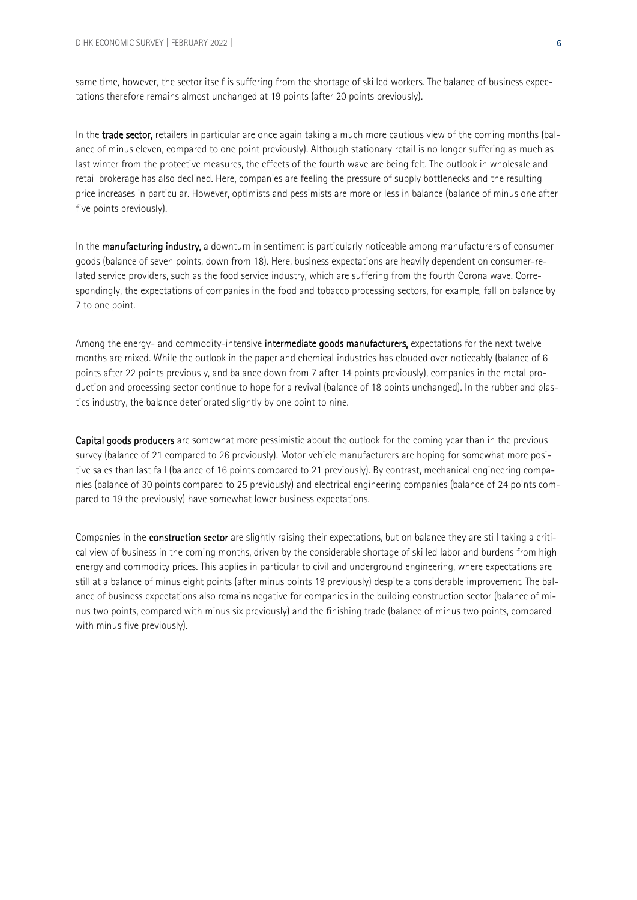same time, however, the sector itself is suffering from the shortage of skilled workers. The balance of business expectations therefore remains almost unchanged at 19 points (after 20 points previously).

In the trade sector, retailers in particular are once again taking a much more cautious view of the coming months (balance of minus eleven, compared to one point previously). Although stationary retail is no longer suffering as much as last winter from the protective measures, the effects of the fourth wave are being felt. The outlook in wholesale and retail brokerage has also declined. Here, companies are feeling the pressure of supply bottlenecks and the resulting price increases in particular. However, optimists and pessimists are more or less in balance (balance of minus one after five points previously).

In the **manufacturing industry**, a downturn in sentiment is particularly noticeable among manufacturers of consumer goods (balance of seven points, down from 18). Here, business expectations are heavily dependent on consumer-related service providers, such as the food service industry, which are suffering from the fourth Corona wave. Correspondingly, the expectations of companies in the food and tobacco processing sectors, for example, fall on balance by 7 to one point.

Among the energy- and commodity-intensive intermediate goods manufacturers, expectations for the next twelve months are mixed. While the outlook in the paper and chemical industries has clouded over noticeably (balance of 6 points after 22 points previously, and balance down from 7 after 14 points previously), companies in the metal production and processing sector continue to hope for a revival (balance of 18 points unchanged). In the rubber and plastics industry, the balance deteriorated slightly by one point to nine.

Capital goods producers are somewhat more pessimistic about the outlook for the coming year than in the previous survey (balance of 21 compared to 26 previously). Motor vehicle manufacturers are hoping for somewhat more positive sales than last fall (balance of 16 points compared to 21 previously). By contrast, mechanical engineering companies (balance of 30 points compared to 25 previously) and electrical engineering companies (balance of 24 points compared to 19 the previously) have somewhat lower business expectations.

Companies in the construction sector are slightly raising their expectations, but on balance they are still taking a critical view of business in the coming months, driven by the considerable shortage of skilled labor and burdens from high energy and commodity prices. This applies in particular to civil and underground engineering, where expectations are still at a balance of minus eight points (after minus points 19 previously) despite a considerable improvement. The balance of business expectations also remains negative for companies in the building construction sector (balance of minus two points, compared with minus six previously) and the finishing trade (balance of minus two points, compared with minus five previously).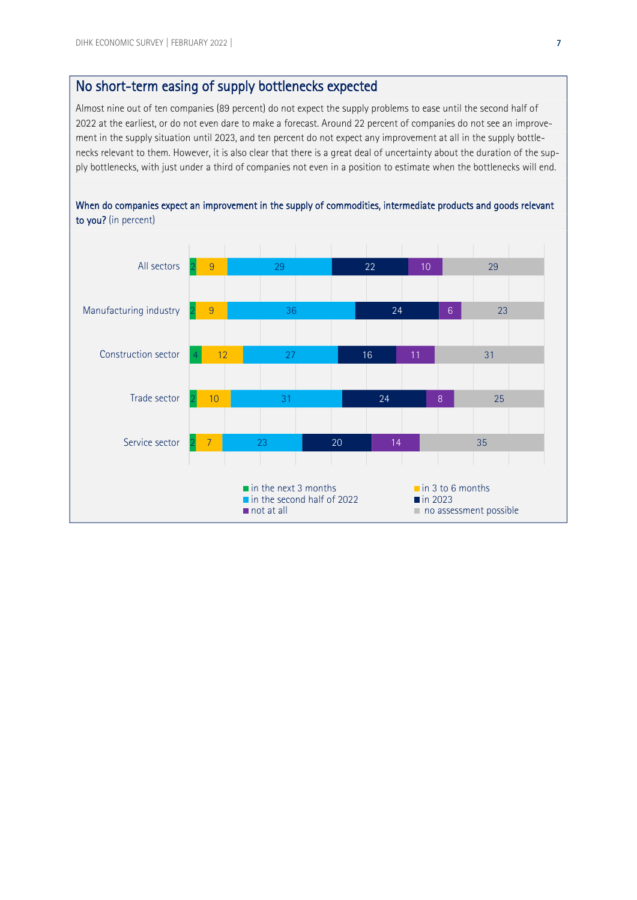## No short-term easing of supply bottlenecks expected

Almost nine out of ten companies (89 percent) do not expect the supply problems to ease until the second half of 2022 at the earliest, or do not even dare to make a forecast. Around 22 percent of companies do not see an improvement in the supply situation until 2023, and ten percent do not expect any improvement at all in the supply bottlenecks relevant to them. However, it is also clear that there is a great deal of uncertainty about the duration of the supply bottlenecks, with just under a third of companies not even in a position to estimate when the bottlenecks will end.



When do companies expect an improvement in the supply of commodities, intermediate products and goods relevant to you? (in percent)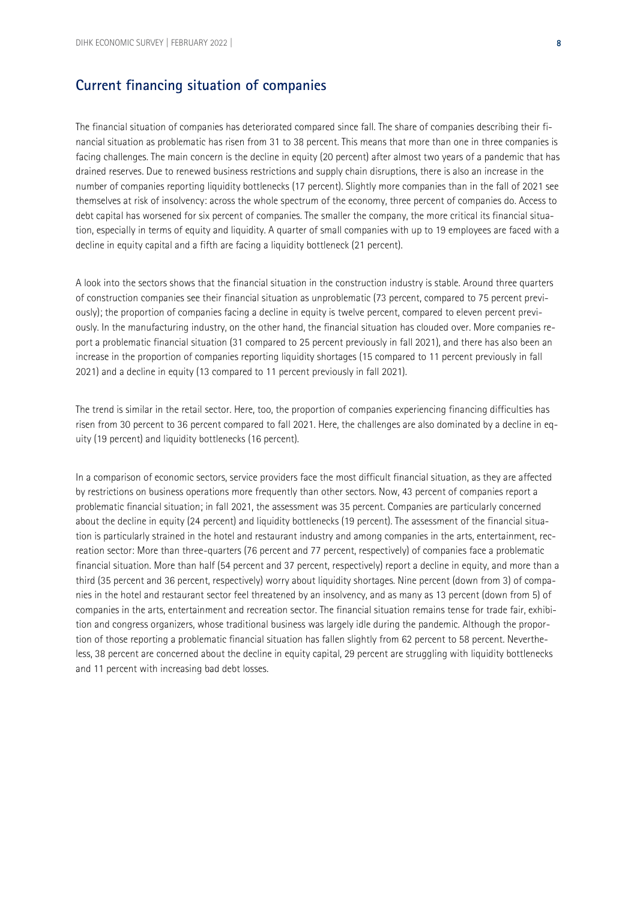### **Current financing situation of companies**

The financial situation of companies has deteriorated compared since fall. The share of companies describing their financial situation as problematic has risen from 31 to 38 percent. This means that more than one in three companies is facing challenges. The main concern is the decline in equity (20 percent) after almost two years of a pandemic that has drained reserves. Due to renewed business restrictions and supply chain disruptions, there is also an increase in the number of companies reporting liquidity bottlenecks (17 percent). Slightly more companies than in the fall of 2021 see themselves at risk of insolvency: across the whole spectrum of the economy, three percent of companies do. Access to debt capital has worsened for six percent of companies. The smaller the company, the more critical its financial situation, especially in terms of equity and liquidity. A quarter of small companies with up to 19 employees are faced with a decline in equity capital and a fifth are facing a liquidity bottleneck (21 percent).

A look into the sectors shows that the financial situation in the construction industry is stable. Around three quarters of construction companies see their financial situation as unproblematic (73 percent, compared to 75 percent previously); the proportion of companies facing a decline in equity is twelve percent, compared to eleven percent previously. In the manufacturing industry, on the other hand, the financial situation has clouded over. More companies report a problematic financial situation (31 compared to 25 percent previously in fall 2021), and there has also been an increase in the proportion of companies reporting liquidity shortages (15 compared to 11 percent previously in fall 2021) and a decline in equity (13 compared to 11 percent previously in fall 2021).

The trend is similar in the retail sector. Here, too, the proportion of companies experiencing financing difficulties has risen from 30 percent to 36 percent compared to fall 2021. Here, the challenges are also dominated by a decline in equity (19 percent) and liquidity bottlenecks (16 percent).

In a comparison of economic sectors, service providers face the most difficult financial situation, as they are affected by restrictions on business operations more frequently than other sectors. Now, 43 percent of companies report a problematic financial situation; in fall 2021, the assessment was 35 percent. Companies are particularly concerned about the decline in equity (24 percent) and liquidity bottlenecks (19 percent). The assessment of the financial situation is particularly strained in the hotel and restaurant industry and among companies in the arts, entertainment, recreation sector: More than three-quarters (76 percent and 77 percent, respectively) of companies face a problematic financial situation. More than half (54 percent and 37 percent, respectively) report a decline in equity, and more than a third (35 percent and 36 percent, respectively) worry about liquidity shortages. Nine percent (down from 3) of companies in the hotel and restaurant sector feel threatened by an insolvency, and as many as 13 percent (down from 5) of companies in the arts, entertainment and recreation sector. The financial situation remains tense for trade fair, exhibition and congress organizers, whose traditional business was largely idle during the pandemic. Although the proportion of those reporting a problematic financial situation has fallen slightly from 62 percent to 58 percent. Nevertheless, 38 percent are concerned about the decline in equity capital, 29 percent are struggling with liquidity bottlenecks and 11 percent with increasing bad debt losses.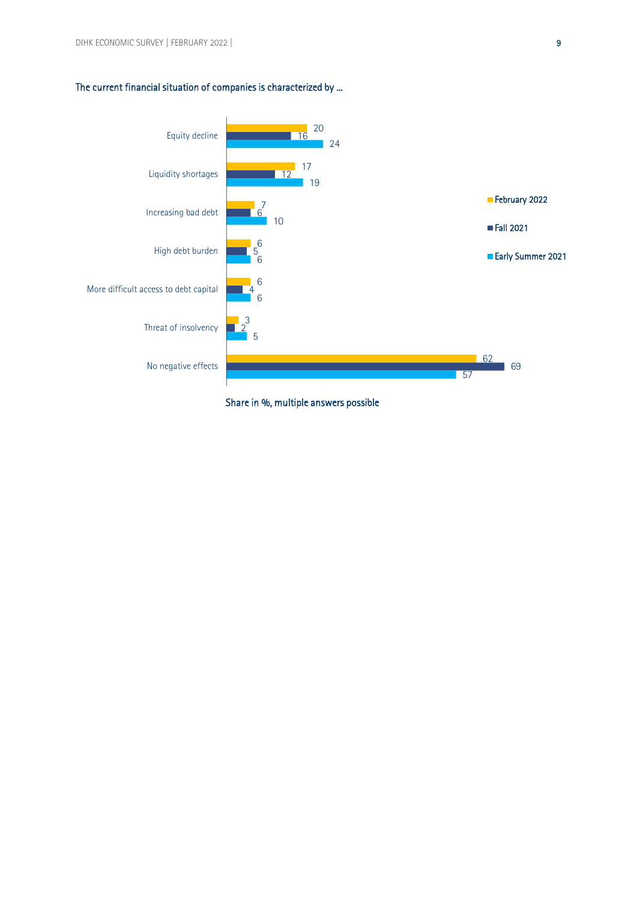#### The current financial situation of companies is characterized by ...



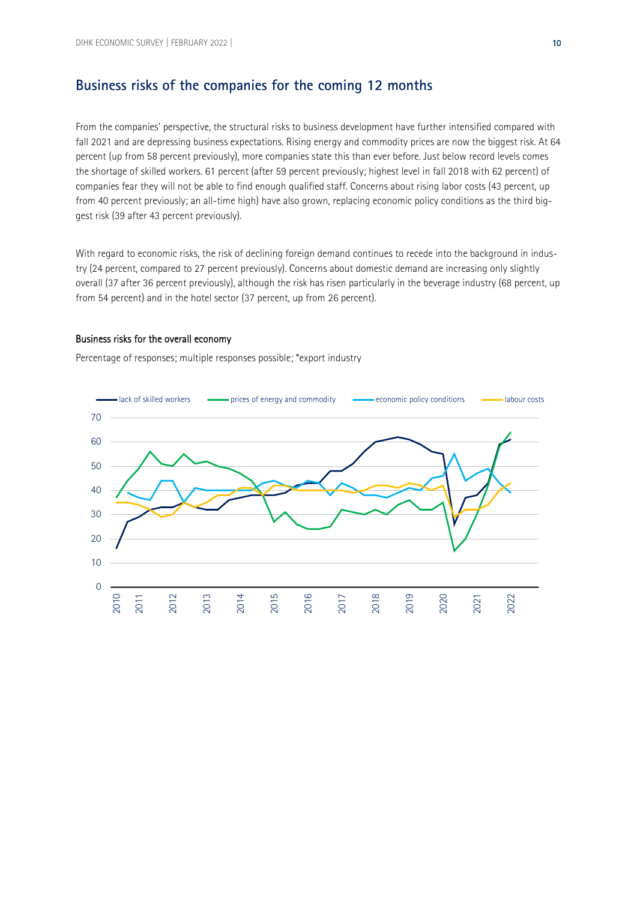### **Business risks of the companies for the coming 12 months**

From the companies' perspective, the structural risks to business development have further intensified compared with fall 2021 and are depressing business expectations. Rising energy and commodity prices are now the biggest risk. At 64 percent (up from 58 percent previously), more companies state this than ever before. Just below record levels comes the shortage of skilled workers. 61 percent (after 59 percent previously; highest level in fall 2018 with 62 percent) of companies fear they will not be able to find enough qualified staff. Concerns about rising labor costs (43 percent, up from 40 percent previously; an all-time high) have also grown, replacing economic policy conditions as the third biggest risk (39 after 43 percent previously).

With regard to economic risks, the risk of declining foreign demand continues to recede into the background in industry (24 percent, compared to 27 percent previously). Concerns about domestic demand are increasing only slightly overall (37 after 36 percent previously), although the risk has risen particularly in the beverage industry (68 percent, up from 54 percent) and in the hotel sector (37 percent, up from 26 percent).

#### Business risks for the overall economy

Percentage of responses; multiple responses possible; \*export industry

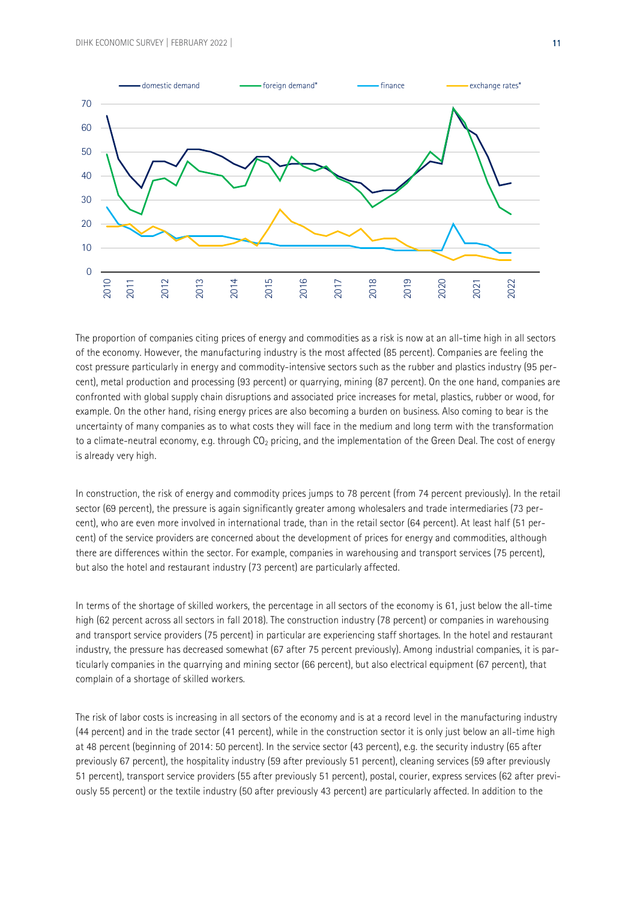

The proportion of companies citing prices of energy and commodities as a risk is now at an all-time high in all sectors of the economy. However, the manufacturing industry is the most affected (85 percent). Companies are feeling the cost pressure particularly in energy and commodity-intensive sectors such as the rubber and plastics industry (95 percent), metal production and processing (93 percent) or quarrying, mining (87 percent). On the one hand, companies are confronted with global supply chain disruptions and associated price increases for metal, plastics, rubber or wood, for example. On the other hand, rising energy prices are also becoming a burden on business. Also coming to bear is the uncertainty of many companies as to what costs they will face in the medium and long term with the transformation to a climate-neutral economy, e.g. through  $CO_2$  pricing, and the implementation of the Green Deal. The cost of energy is already very high.

In construction, the risk of energy and commodity prices jumps to 78 percent (from 74 percent previously). In the retail sector (69 percent), the pressure is again significantly greater among wholesalers and trade intermediaries (73 percent), who are even more involved in international trade, than in the retail sector (64 percent). At least half (51 percent) of the service providers are concerned about the development of prices for energy and commodities, although there are differences within the sector. For example, companies in warehousing and transport services (75 percent), but also the hotel and restaurant industry (73 percent) are particularly affected.

In terms of the shortage of skilled workers, the percentage in all sectors of the economy is 61, just below the all-time high (62 percent across all sectors in fall 2018). The construction industry (78 percent) or companies in warehousing and transport service providers (75 percent) in particular are experiencing staff shortages. In the hotel and restaurant industry, the pressure has decreased somewhat (67 after 75 percent previously). Among industrial companies, it is particularly companies in the quarrying and mining sector (66 percent), but also electrical equipment (67 percent), that complain of a shortage of skilled workers.

The risk of labor costs is increasing in all sectors of the economy and is at a record level in the manufacturing industry (44 percent) and in the trade sector (41 percent), while in the construction sector it is only just below an all-time high at 48 percent (beginning of 2014: 50 percent). In the service sector (43 percent), e.g. the security industry (65 after previously 67 percent), the hospitality industry (59 after previously 51 percent), cleaning services (59 after previously 51 percent), transport service providers (55 after previously 51 percent), postal, courier, express services (62 after previously 55 percent) or the textile industry (50 after previously 43 percent) are particularly affected. In addition to the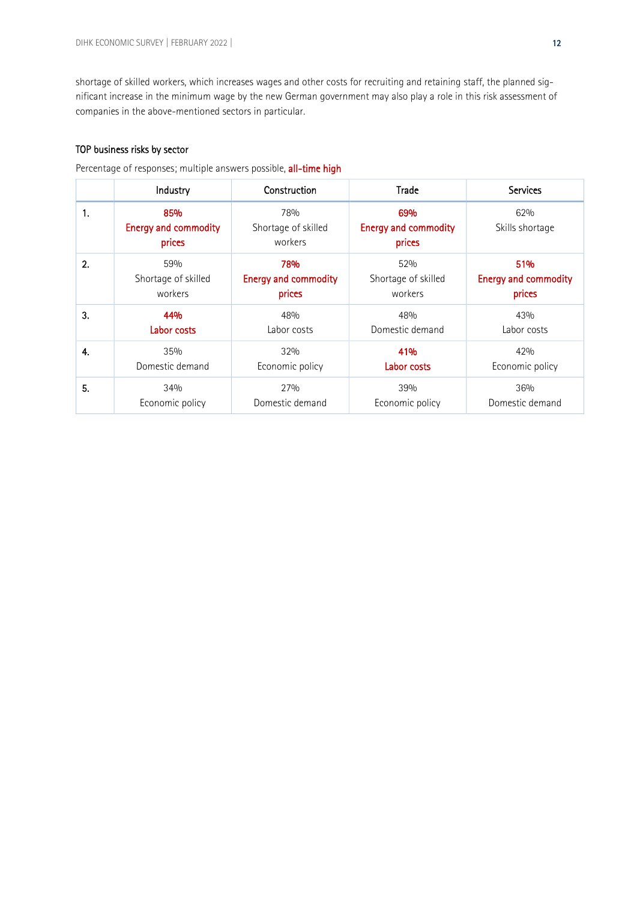shortage of skilled workers, which increases wages and other costs for recruiting and retaining staff, the planned significant increase in the minimum wage by the new German government may also play a role in this risk assessment of companies in the above-mentioned sectors in particular.

#### TOP business risks by sector

Percentage of responses; multiple answers possible, **all-time high**<br>————————————————————

|    | Industry                                     | Construction                          | Trade                                        | <b>Services</b>             |
|----|----------------------------------------------|---------------------------------------|----------------------------------------------|-----------------------------|
| 1. | 85%<br><b>Energy and commodity</b><br>prices | 78%<br>Shortage of skilled<br>workers | 69%<br><b>Energy and commodity</b><br>prices | 62%<br>Skills shortage      |
| 2. | 59%                                          | 78%                                   | 52%                                          | 51%                         |
|    | Shortage of skilled                          | <b>Energy and commodity</b>           | Shortage of skilled                          | <b>Energy and commodity</b> |
|    | workers                                      | prices                                | workers                                      | prices                      |
| 3. | 44%                                          | 48%                                   | 48%                                          | 43%                         |
|    | Labor costs                                  | Labor costs                           | Domestic demand                              | Labor costs                 |
| 4. | 35%                                          | 32%                                   | 41%                                          | 42%                         |
|    | Domestic demand                              | Economic policy                       | Labor costs                                  | Economic policy             |
| 5. | 34%                                          | 27%                                   | 39%                                          | 36%                         |
|    | Economic policy                              | Domestic demand                       | Economic policy                              | Domestic demand             |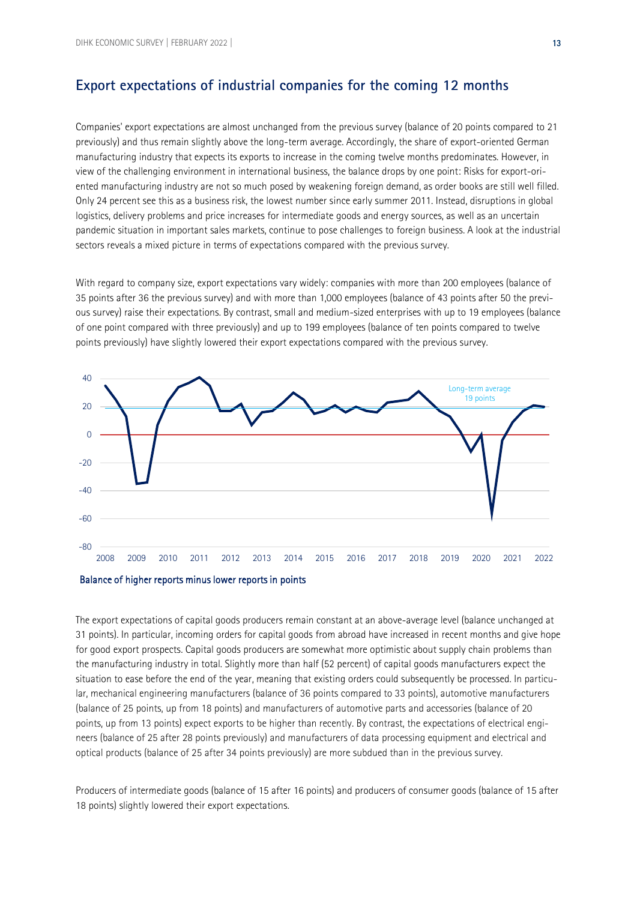## **Export expectations of industrial companies for the coming 12 months**

Companies' export expectations are almost unchanged from the previous survey (balance of 20 points compared to 21 previously) and thus remain slightly above the long-term average. Accordingly, the share of export-oriented German manufacturing industry that expects its exports to increase in the coming twelve months predominates. However, in view of the challenging environment in international business, the balance drops by one point: Risks for export-oriented manufacturing industry are not so much posed by weakening foreign demand, as order books are still well filled. Only 24 percent see this as a business risk, the lowest number since early summer 2011. Instead, disruptions in global logistics, delivery problems and price increases for intermediate goods and energy sources, as well as an uncertain pandemic situation in important sales markets, continue to pose challenges to foreign business. A look at the industrial sectors reveals a mixed picture in terms of expectations compared with the previous survey.

With regard to company size, export expectations vary widely: companies with more than 200 employees (balance of 35 points after 36 the previous survey) and with more than 1,000 employees (balance of 43 points after 50 the previous survey) raise their expectations. By contrast, small and medium-sized enterprises with up to 19 employees (balance of one point compared with three previously) and up to 199 employees (balance of ten points compared to twelve points previously) have slightly lowered their export expectations compared with the previous survey.





The export expectations of capital goods producers remain constant at an above-average level (balance unchanged at 31 points). In particular, incoming orders for capital goods from abroad have increased in recent months and give hope for good export prospects. Capital goods producers are somewhat more optimistic about supply chain problems than the manufacturing industry in total. Slightly more than half (52 percent) of capital goods manufacturers expect the situation to ease before the end of the year, meaning that existing orders could subsequently be processed. In particular, mechanical engineering manufacturers (balance of 36 points compared to 33 points), automotive manufacturers (balance of 25 points, up from 18 points) and manufacturers of automotive parts and accessories (balance of 20 points, up from 13 points) expect exports to be higher than recently. By contrast, the expectations of electrical engineers (balance of 25 after 28 points previously) and manufacturers of data processing equipment and electrical and optical products (balance of 25 after 34 points previously) are more subdued than in the previous survey.

Producers of intermediate goods (balance of 15 after 16 points) and producers of consumer goods (balance of 15 after 18 points) slightly lowered their export expectations.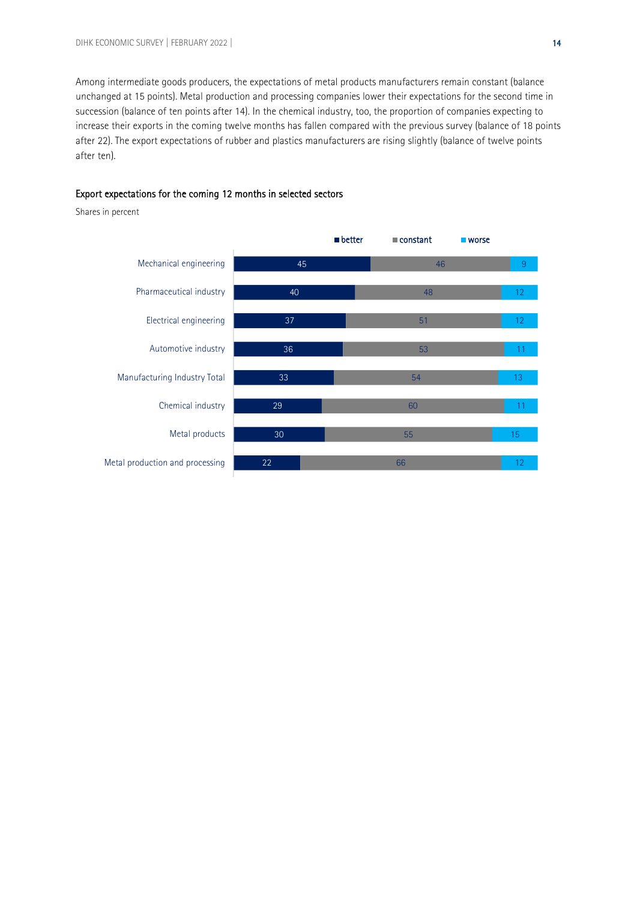Among intermediate goods producers, the expectations of metal products manufacturers remain constant (balance unchanged at 15 points). Metal production and processing companies lower their expectations for the second time in succession (balance of ten points after 14). In the chemical industry, too, the proportion of companies expecting to increase their exports in the coming twelve months has fallen compared with the previous survey (balance of 18 points after 22). The export expectations of rubber and plastics manufacturers are rising slightly (balance of twelve points after ten).

#### Export expectations for the coming 12 months in selected sectors

Shares in percent

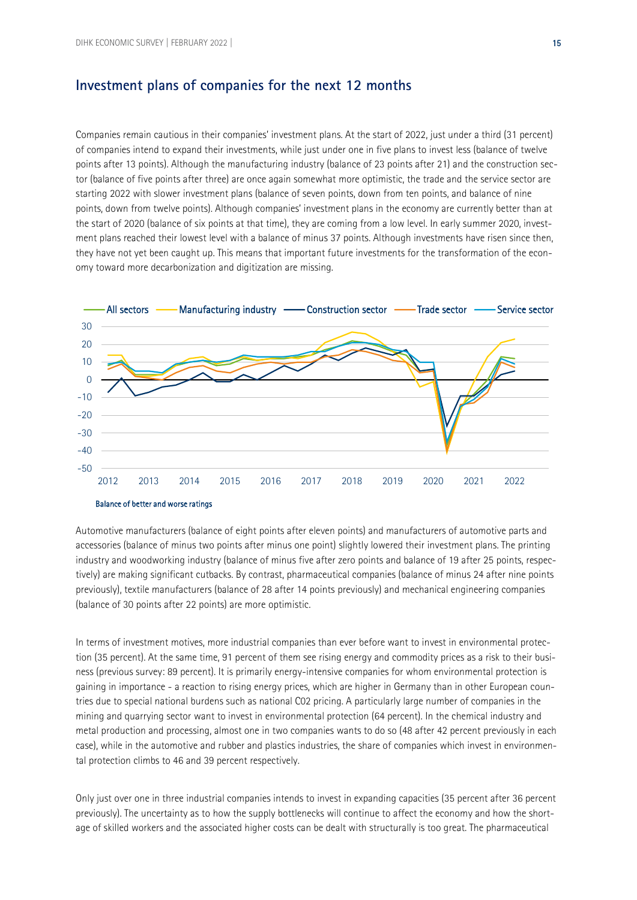#### **Investment plans of companies for the next 12 months**

Companies remain cautious in their companies' investment plans. At the start of 2022, just under a third (31 percent) of companies intend to expand their investments, while just under one in five plans to invest less (balance of twelve points after 13 points). Although the manufacturing industry (balance of 23 points after 21) and the construction sector (balance of five points after three) are once again somewhat more optimistic, the trade and the service sector are starting 2022 with slower investment plans (balance of seven points, down from ten points, and balance of nine points, down from twelve points). Although companies' investment plans in the economy are currently better than at the start of 2020 (balance of six points at that time), they are coming from a low level. In early summer 2020, investment plans reached their lowest level with a balance of minus 37 points. Although investments have risen since then, they have not yet been caught up. This means that important future investments for the transformation of the economy toward more decarbonization and digitization are missing.





In terms of investment motives, more industrial companies than ever before want to invest in environmental protection (35 percent). At the same time, 91 percent of them see rising energy and commodity prices as a risk to their business (previous survey: 89 percent). It is primarily energy-intensive companies for whom environmental protection is gaining in importance - a reaction to rising energy prices, which are higher in Germany than in other European countries due to special national burdens such as national C02 pricing. A particularly large number of companies in the mining and quarrying sector want to invest in environmental protection (64 percent). In the chemical industry and metal production and processing, almost one in two companies wants to do so (48 after 42 percent previously in each case), while in the automotive and rubber and plastics industries, the share of companies which invest in environmental protection climbs to 46 and 39 percent respectively.

Only just over one in three industrial companies intends to invest in expanding capacities (35 percent after 36 percent previously). The uncertainty as to how the supply bottlenecks will continue to affect the economy and how the shortage of skilled workers and the associated higher costs can be dealt with structurally is too great. The pharmaceutical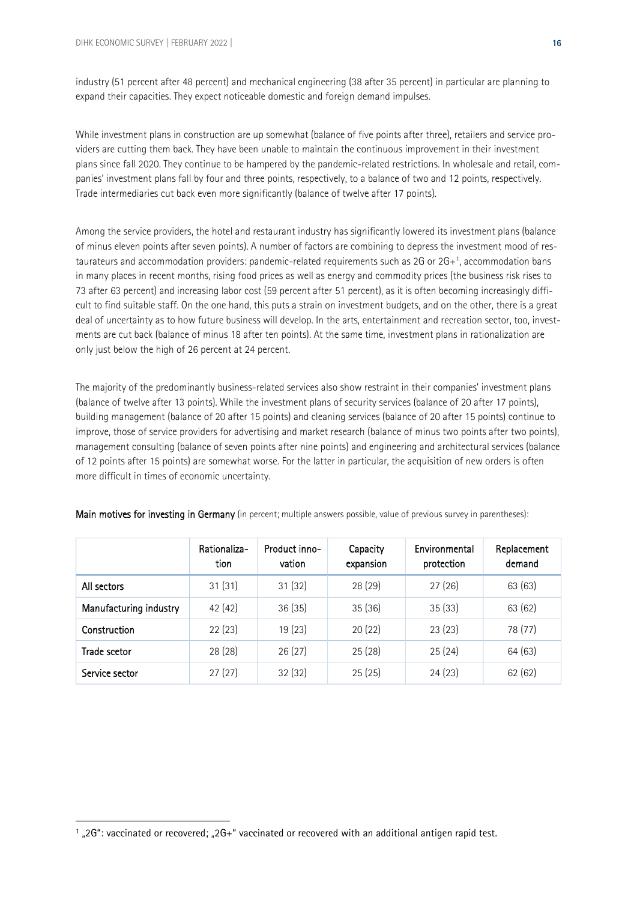industry (51 percent after 48 percent) and mechanical engineering (38 after 35 percent) in particular are planning to expand their capacities. They expect noticeable domestic and foreign demand impulses.

While investment plans in construction are up somewhat (balance of five points after three), retailers and service providers are cutting them back. They have been unable to maintain the continuous improvement in their investment plans since fall 2020. They continue to be hampered by the pandemic-related restrictions. In wholesale and retail, companies' investment plans fall by four and three points, respectively, to a balance of two and 12 points, respectively. Trade intermediaries cut back even more significantly (balance of twelve after 17 points).

<span id="page-15-1"></span>Among the service providers, the hotel and restaurant industry has significantly lowered its investment plans (balance of minus eleven points after seven points). A number of factors are combining to depress the investment mood of restaurateurs and accommodation providers: pandemic-related requirements such as 2G or 2G+[1](#page-15-0) , accommodation bans in many places in recent months, rising food prices as well as energy and commodity prices (the business risk rises to 73 after 63 percent) and increasing labor cost (59 percent after 51 percent), as it is often becoming increasingly difficult to find suitable staff. On the one hand, this puts a strain on investment budgets, and on the other, there is a great deal of uncertainty as to how future business will develop. In the arts, entertainment and recreation sector, too, investments are cut back (balance of minus 18 after ten points). At the same time, investment plans in rationalization are only just below the high of 26 percent at 24 percent.

The majority of the predominantly business-related services also show restraint in their companies' investment plans (balance of twelve after 13 points). While the investment plans of security services (balance of 20 after 17 points), building management (balance of 20 after 15 points) and cleaning services (balance of 20 after 15 points) continue to improve, those of service providers for advertising and market research (balance of minus two points after two points), management consulting (balance of seven points after nine points) and engineering and architectural services (balance of 12 points after 15 points) are somewhat worse. For the latter in particular, the acquisition of new orders is often more difficult in times of economic uncertainty.

|                        | Rationaliza-<br>tion | Product inno-<br>vation | Capacity<br>expansion | Environmental<br>protection | Replacement<br>demand |
|------------------------|----------------------|-------------------------|-----------------------|-----------------------------|-----------------------|
| All sectors            | 31(31)               | 31(32)                  | 28 (29)               | 27(26)                      | 63 (63)               |
| Manufacturing industry | 42 (42)              | 36(35)                  | 35(36)                | 35(33)                      | 63 (62)               |
| Construction           | 22(23)               | 19(23)                  | 20(22)                | 23(23)                      | 78 (77)               |
| <b>Trade scetor</b>    | 28 (28)              | 26(27)                  | 25(28)                | 25(24)                      | 64 (63)               |
| Service sector         | 27(27)               | 32(32)                  | 25(25)                | 24(23)                      | 62(62)                |

Main motives for investing in Germany (in percent; multiple answers possible, value of previous survey in parentheses):

<span id="page-15-0"></span><sup>&</sup>lt;sup>[1](#page-15-1)</sup> "2G": vaccinated or recovered; "2G+" vaccinated or recovered with an additional antigen rapid test.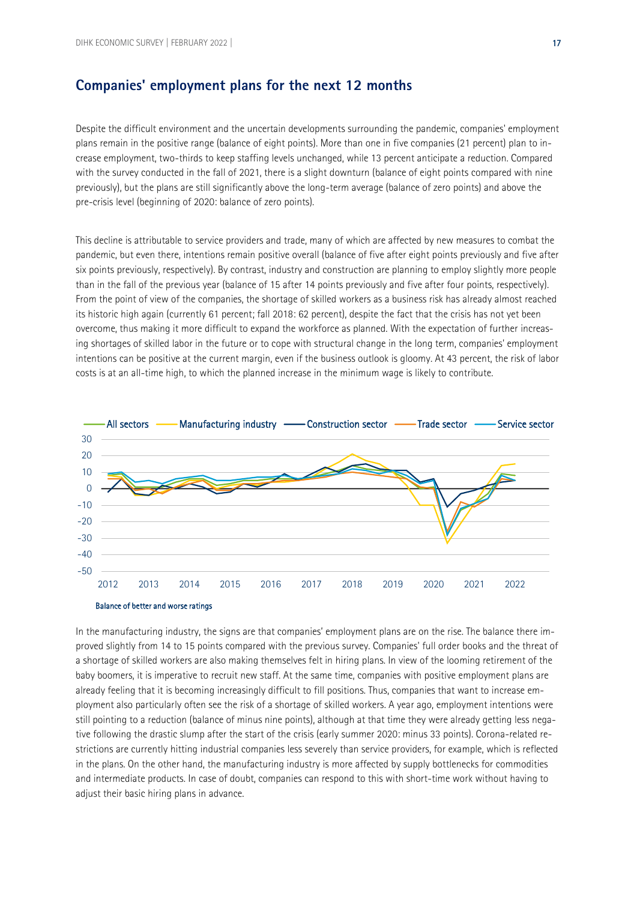#### **Companies' employment plans for the next 12 months**

Despite the difficult environment and the uncertain developments surrounding the pandemic, companies' employment plans remain in the positive range (balance of eight points). More than one in five companies (21 percent) plan to increase employment, two-thirds to keep staffing levels unchanged, while 13 percent anticipate a reduction. Compared with the survey conducted in the fall of 2021, there is a slight downturn (balance of eight points compared with nine previously), but the plans are still significantly above the long-term average (balance of zero points) and above the pre-crisis level (beginning of 2020: balance of zero points).

This decline is attributable to service providers and trade, many of which are affected by new measures to combat the pandemic, but even there, intentions remain positive overall (balance of five after eight points previously and five after six points previously, respectively). By contrast, industry and construction are planning to employ slightly more people than in the fall of the previous year (balance of 15 after 14 points previously and five after four points, respectively). From the point of view of the companies, the shortage of skilled workers as a business risk has already almost reached its historic high again (currently 61 percent; fall 2018: 62 percent), despite the fact that the crisis has not yet been overcome, thus making it more difficult to expand the workforce as planned. With the expectation of further increasing shortages of skilled labor in the future or to cope with structural change in the long term, companies' employment intentions can be positive at the current margin, even if the business outlook is gloomy. At 43 percent, the risk of labor costs is at an all-time high, to which the planned increase in the minimum wage is likely to contribute.



In the manufacturing industry, the signs are that companies' employment plans are on the rise. The balance there improved slightly from 14 to 15 points compared with the previous survey. Companies' full order books and the threat of a shortage of skilled workers are also making themselves felt in hiring plans. In view of the looming retirement of the baby boomers, it is imperative to recruit new staff. At the same time, companies with positive employment plans are already feeling that it is becoming increasingly difficult to fill positions. Thus, companies that want to increase employment also particularly often see the risk of a shortage of skilled workers. A year ago, employment intentions were still pointing to a reduction (balance of minus nine points), although at that time they were already getting less negative following the drastic slump after the start of the crisis (early summer 2020: minus 33 points). Corona-related restrictions are currently hitting industrial companies less severely than service providers, for example, which is reflected in the plans. On the other hand, the manufacturing industry is more affected by supply bottlenecks for commodities and intermediate products. In case of doubt, companies can respond to this with short-time work without having to adjust their basic hiring plans in advance.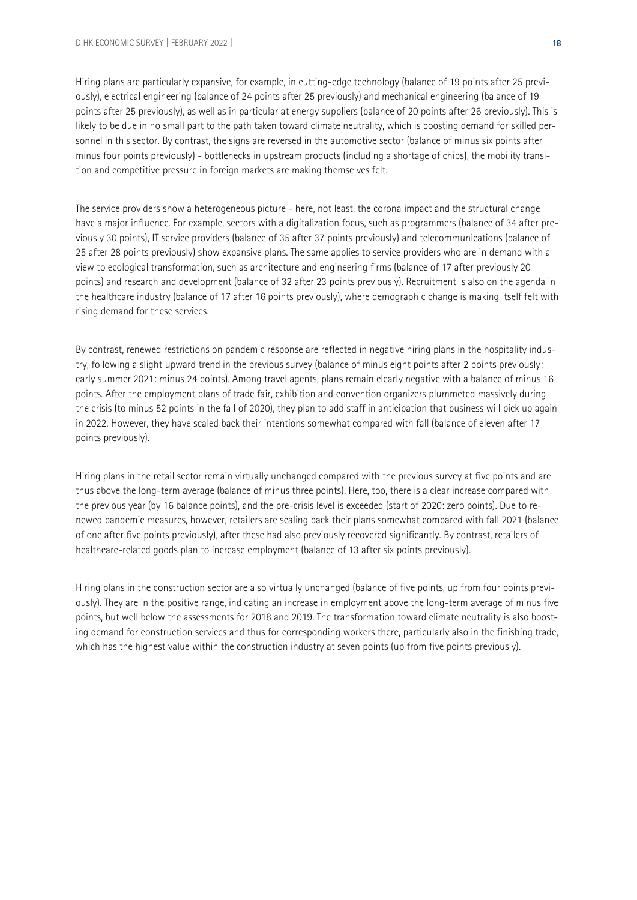Hiring plans are particularly expansive, for example, in cutting-edge technology (balance of 19 points after 25 previously), electrical engineering (balance of 24 points after 25 previously) and mechanical engineering (balance of 19 points after 25 previously), as well as in particular at energy suppliers (balance of 20 points after 26 previously). This is likely to be due in no small part to the path taken toward climate neutrality, which is boosting demand for skilled personnel in this sector. By contrast, the signs are reversed in the automotive sector (balance of minus six points after minus four points previously) - bottlenecks in upstream products (including a shortage of chips), the mobility transition and competitive pressure in foreign markets are making themselves felt.

The service providers show a heterogeneous picture - here, not least, the corona impact and the structural change have a major influence. For example, sectors with a digitalization focus, such as programmers (balance of 34 after previously 30 points), IT service providers (balance of 35 after 37 points previously) and telecommunications (balance of 25 after 28 points previously) show expansive plans. The same applies to service providers who are in demand with a view to ecological transformation, such as architecture and engineering firms (balance of 17 after previously 20 points) and research and development (balance of 32 after 23 points previously). Recruitment is also on the agenda in the healthcare industry (balance of 17 after 16 points previously), where demographic change is making itself felt with rising demand for these services.

By contrast, renewed restrictions on pandemic response are reflected in negative hiring plans in the hospitality industry, following a slight upward trend in the previous survey (balance of minus eight points after 2 points previously; early summer 2021: minus 24 points). Among travel agents, plans remain clearly negative with a balance of minus 16 points. After the employment plans of trade fair, exhibition and convention organizers plummeted massively during the crisis (to minus 52 points in the fall of 2020), they plan to add staff in anticipation that business will pick up again in 2022. However, they have scaled back their intentions somewhat compared with fall (balance of eleven after 17 points previously).

Hiring plans in the retail sector remain virtually unchanged compared with the previous survey at five points and are thus above the long-term average (balance of minus three points). Here, too, there is a clear increase compared with the previous year (by 16 balance points), and the pre-crisis level is exceeded (start of 2020: zero points). Due to renewed pandemic measures, however, retailers are scaling back their plans somewhat compared with fall 2021 (balance of one after five points previously), after these had also previously recovered significantly. By contrast, retailers of healthcare-related goods plan to increase employment (balance of 13 after six points previously).

Hiring plans in the construction sector are also virtually unchanged (balance of five points, up from four points previously). They are in the positive range, indicating an increase in employment above the long-term average of minus five points, but well below the assessments for 2018 and 2019. The transformation toward climate neutrality is also boosting demand for construction services and thus for corresponding workers there, particularly also in the finishing trade, which has the highest value within the construction industry at seven points (up from five points previously).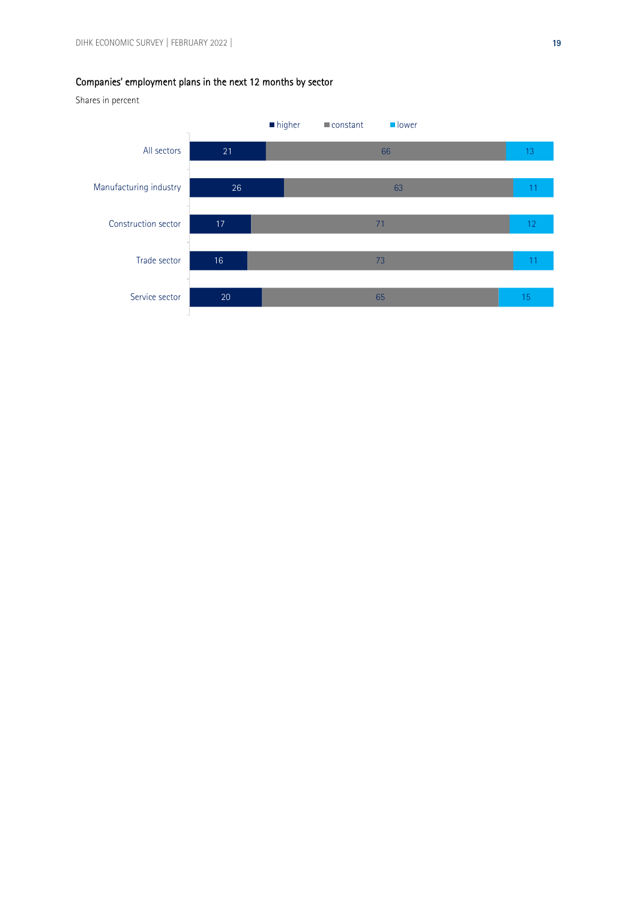#### Companies' employment plans in the next 12 months by sector

Shares in percent